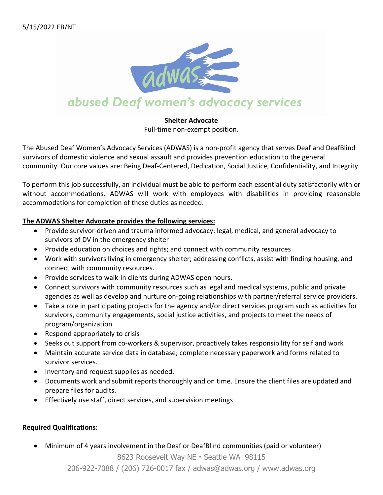

### **Shelter Advocate**

Full-time non-exempt position.

The Abused Deaf Women's Advocacy Services (ADWAS) is a non-profit agency that serves Deaf and DeafBlind survivors of domestic violence and sexual assault and provides prevention education to the general community. Our core values are: Being Deaf-Centered, Dedication, Social Justice, Confidentiality, and Integrity

To perform this job successfully, an individual must be able to perform each essential duty satisfactorily with or without accommodations. ADWAS will work with employees with disabilities in providing reasonable accommodations for completion of these duties as needed.

## **The ADWAS Shelter Advocate provides the following services:**

- Provide survivor-driven and trauma informed advocacy: legal, medical, and general advocacy to survivors of DV in the emergency shelter
- Provide education on choices and rights; and connect with community resources
- Work with survivors living in emergency shelter; addressing conflicts, assist with finding housing, and connect with community resources.
- Provide services to walk-in clients during ADWAS open hours.
- Connect survivors with community resources such as legal and medical systems, public and private agencies as well as develop and nurture on-going relationships with partner/referral service providers.
- Take a role in participating projects for the agency and/or direct services program such as activities for survivors, community engagements, social justice activities, and projects to meet the needs of program/organization
- Respond appropriately to crisis
- Seeks out support from co-workers & supervisor, proactively takes responsibility for self and work
- Maintain accurate service data in database; complete necessary paperwork and forms related to survivor services.
- Inventory and request supplies as needed.
- Documents work and submit reports thoroughly and on time. Ensure the client files are updated and prepare files for audits.
- Effectively use staff, direct services, and supervision meetings

## **Required Qualifications:**

• Minimum of 4 years involvement in the Deaf or DeafBlind communities (paid or volunteer)

8623 Roosevelt Way NE • Seattle WA 98115

206-922-7088 / (206) 726-0017 fax / adwas@adwas.org / www.adwas.org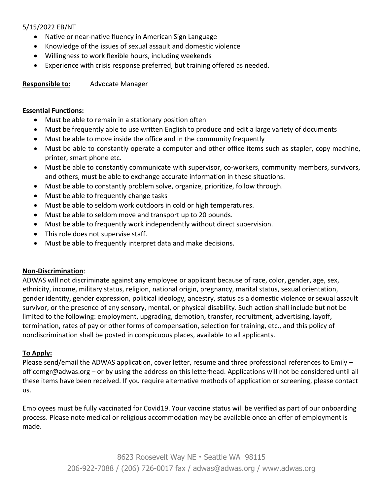## 5/15/2022 EB/NT

- Native or near-native fluency in American Sign Language
- Knowledge of the issues of sexual assault and domestic violence
- Willingness to work flexible hours, including weekends
- Experience with crisis response preferred, but training offered as needed.

**Responsible to:** Advocate Manager

#### **Essential Functions:**

- Must be able to remain in a stationary position often
- Must be frequently able to use written English to produce and edit a large variety of documents
- Must be able to move inside the office and in the community frequently
- Must be able to constantly operate a computer and other office items such as stapler, copy machine, printer, smart phone etc.
- Must be able to constantly communicate with supervisor, co-workers, community members, survivors, and others, must be able to exchange accurate information in these situations.
- Must be able to constantly problem solve, organize, prioritize, follow through.
- Must be able to frequently change tasks
- Must be able to seldom work outdoors in cold or high temperatures.
- Must be able to seldom move and transport up to 20 pounds.
- Must be able to frequently work independently without direct supervision.
- This role does not supervise staff.
- Must be able to frequently interpret data and make decisions.

### **Non-Discrimination**:

ADWAS will not discriminate against any employee or applicant because of race, color, gender, age, sex, ethnicity, income, military status, religion, national origin, pregnancy, marital status, sexual orientation, gender identity, gender expression, political ideology, ancestry, status as a domestic violence or sexual assault survivor, or the presence of any sensory, mental, or physical disability. Such action shall include but not be limited to the following: employment, upgrading, demotion, transfer, recruitment, advertising, layoff, termination, rates of pay or other forms of compensation, selection for training, etc., and this policy of nondiscrimination shall be posted in conspicuous places, available to all applicants.

### **To Apply:**

Please send/email the ADWAS application, cover letter, resume and three professional references to Emily – officemgr@adwas.org – or by using the address on this letterhead. Applications will not be considered until all these items have been received. If you require alternative methods of application or screening, please contact us.

Employees must be fully vaccinated for Covid19. Your vaccine status will be verified as part of our onboarding process. Please note medical or religious accommodation may be available once an offer of employment is made.